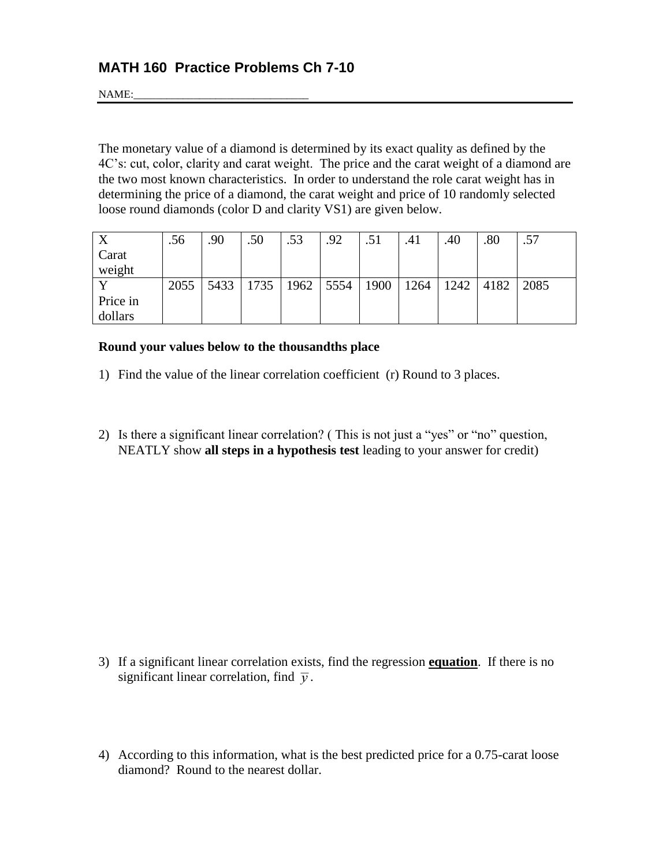NAME:

The monetary value of a diamond is determined by its exact quality as defined by the 4C's: cut, color, clarity and carat weight. The price and the carat weight of a diamond are the two most known characteristics. In order to understand the role carat weight has in determining the price of a diamond, the carat weight and price of 10 randomly selected loose round diamonds (color D and clarity VS1) are given below.

|          | .56  | .90  | .50                       | .53 | .92 | .51 | .41  | .40  | .80  | .57  |
|----------|------|------|---------------------------|-----|-----|-----|------|------|------|------|
| Carat    |      |      |                           |     |     |     |      |      |      |      |
| weight   |      |      |                           |     |     |     |      |      |      |      |
|          | 2055 | 5433 | 1735   1962   5554   1900 |     |     |     | 1264 | 1242 | 4182 | 2085 |
| Price in |      |      |                           |     |     |     |      |      |      |      |
| dollars  |      |      |                           |     |     |     |      |      |      |      |

## **Round your values below to the thousandths place**

- 1) Find the value of the linear correlation coefficient (r) Round to 3 places.
- 2) Is there a significant linear correlation? ( This is not just a "yes" or "no" question, NEATLY show **all steps in a hypothesis test** leading to your answer for credit)

- 3) If a significant linear correlation exists, find the regression **equation**. If there is no significant linear correlation, find  $\overline{v}$ .
- 4) According to this information, what is the best predicted price for a 0.75-carat loose diamond? Round to the nearest dollar.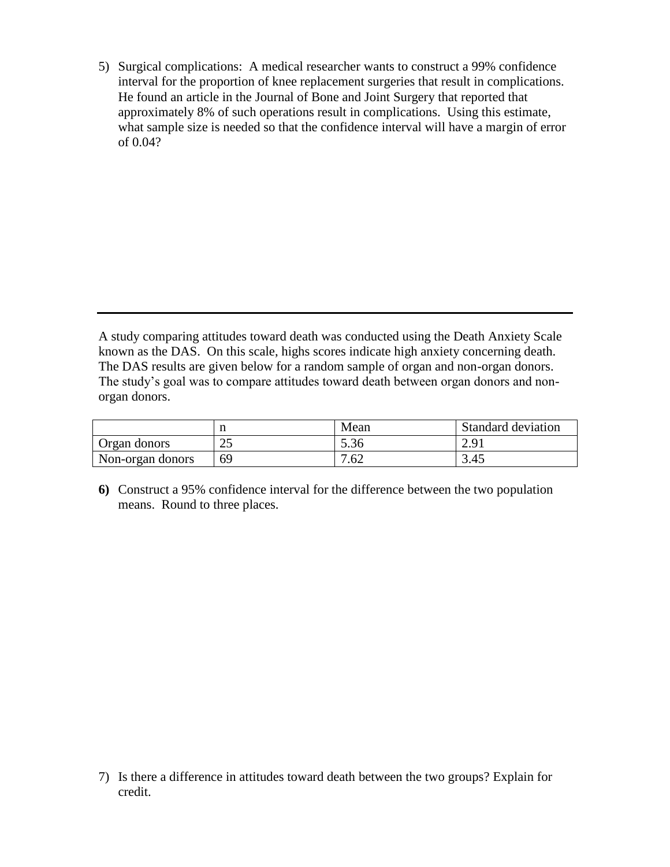5) Surgical complications: A medical researcher wants to construct a 99% confidence interval for the proportion of knee replacement surgeries that result in complications. He found an article in the Journal of Bone and Joint Surgery that reported that approximately 8% of such operations result in complications. Using this estimate, what sample size is needed so that the confidence interval will have a margin of error of 0.04?

A study comparing attitudes toward death was conducted using the Death Anxiety Scale known as the DAS. On this scale, highs scores indicate high anxiety concerning death. The DAS results are given below for a random sample of organ and non-organ donors. The study's goal was to compare attitudes toward death between organ donors and nonorgan donors.

|                  |          | Mean               | Standard deviation |
|------------------|----------|--------------------|--------------------|
| Organ donors     | つど<br>بە | $\sim$ 0.4<br>5.36 | 2.91               |
| Non-organ donors | 69       | 7.62               | 3.45               |

**6)** Construct a 95% confidence interval for the difference between the two population means. Round to three places.

7) Is there a difference in attitudes toward death between the two groups? Explain for credit.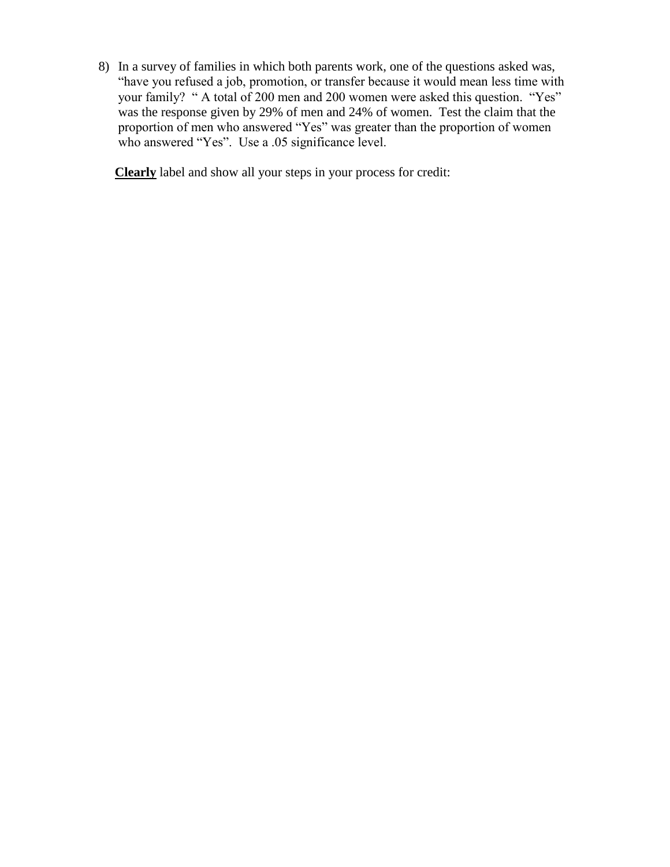8) In a survey of families in which both parents work, one of the questions asked was, "have you refused a job, promotion, or transfer because it would mean less time with your family? " A total of 200 men and 200 women were asked this question. "Yes" was the response given by 29% of men and 24% of women. Test the claim that the proportion of men who answered "Yes" was greater than the proportion of women who answered "Yes". Use a .05 significance level.

**Clearly** label and show all your steps in your process for credit: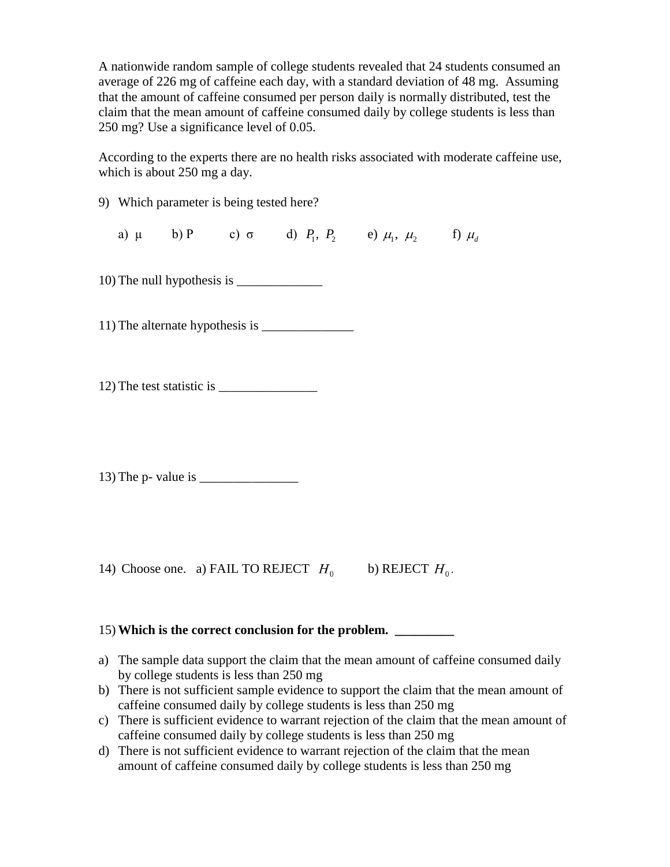A nationwide random sample of college students revealed that 24 students consumed an average of 226 mg of caffeine each day, with a standard deviation of 48 mg. Assuming that the amount of caffeine consumed per person daily is normally distributed, test the claim that the mean amount of caffeine consumed daily by college students is less than 250 mg? Use a significance level of 0.05.

According to the experts there are no health risks associated with moderate caffeine use, which is about 250 mg a day.

9) Which parameter is being tested here?

a)  $\mu$  b) P c)  $\sigma$  d)  $P_1, P_2$  e)  $\mu_1, \mu_2$  f)  $\mu_d$ 

10) The null hypothesis is \_\_\_\_\_\_\_\_\_\_\_\_\_

11) The alternate hypothesis is \_\_\_\_\_\_\_\_\_\_\_\_\_\_

12) The test statistic is \_\_\_\_\_\_\_\_\_\_\_\_\_\_\_

13) The p- value is

14) Choose one. a) FAIL TO REJECT  $H_0$  b) REJECT  $H_0$ .

## 15) **Which is the correct conclusion for the problem. \_\_\_\_\_\_\_\_\_**

- a) The sample data support the claim that the mean amount of caffeine consumed daily by college students is less than 250 mg
- b) There is not sufficient sample evidence to support the claim that the mean amount of caffeine consumed daily by college students is less than 250 mg
- c) There is sufficient evidence to warrant rejection of the claim that the mean amount of caffeine consumed daily by college students is less than 250 mg
- d) There is not sufficient evidence to warrant rejection of the claim that the mean amount of caffeine consumed daily by college students is less than 250 mg